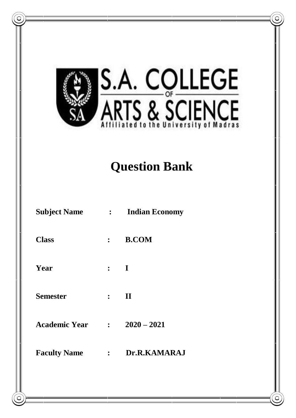

# **Question Bank**

| <b>Subject Name</b>  | $\mathcal{L}$  | <b>Indian Economy</b> |
|----------------------|----------------|-----------------------|
| <b>Class</b>         | $\ddot{\cdot}$ | <b>B.COM</b>          |
| Year                 | $\ddot{\cdot}$ | $\bf{I}$              |
| <b>Semester</b>      | $\ddot{\cdot}$ | $\mathbf H$           |
| <b>Academic Year</b> | $\mathbb{R}^2$ | $2020 - 2021$         |
| <b>Faculty Name</b>  | $\ddot{\cdot}$ | Dr.R.KAMARAJ          |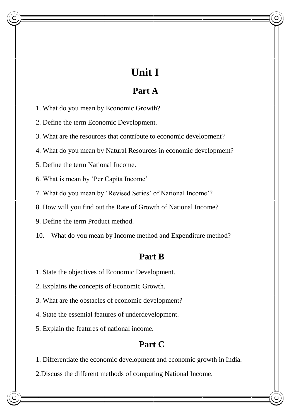## **Unit I**

## **Part A**

1. What do you mean by Economic Growth?

2. Define the term Economic Development.

3. What are the resources that contribute to economic development?

4. What do you mean by Natural Resources in economic development?

5. Define the term National Income.

6. What is mean by 'Per Capita Income'

7. What do you mean by 'Revised Series' of National Income'?

8. How will you find out the Rate of Growth of National Income?

9. Define the term Product method.

10. What do you mean by Income method and Expenditure method?

### **Part B**

1. State the objectives of Economic Development.

2. Explains the concepts of Economic Growth.

3. What are the obstacles of economic development?

4. State the essential features of underdevelopment.

5. Explain the features of national income.

## **Part C**

1. Differentiate the economic development and economic growth in India.

2.Discuss the different methods of computing National Income.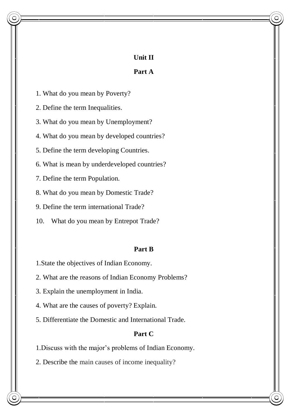#### **Unit II**

#### **Part A**

1. What do you mean by Poverty?

2. Define the term Inequalities.

3. What do you mean by Unemployment?

4. What do you mean by developed countries?

5. Define the term developing Countries.

6. What is mean by underdeveloped countries?

7. Define the term Population.

8. What do you mean by Domestic Trade?

9. Define the term international Trade?

10. What do you mean by Entrepot Trade?

#### **Part B**

1.State the objectives of Indian Economy.

2. What are the reasons of Indian Economy Problems?

3. Explain the unemployment in India.

4. What are the causes of poverty? Explain.

5. Differentiate the Domestic and International Trade.

#### **Part C**

1.Discuss with the major's problems of Indian Economy.

2. Describe the main causes of income inequality?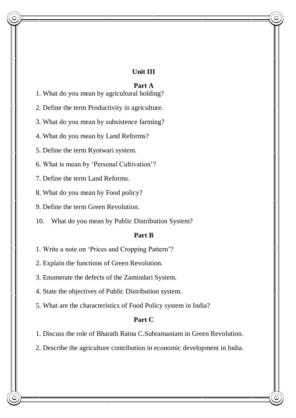#### **Unit III**

#### **Part A**

1. What do you mean by agricultural holding?

2. Define the term Productivity in agriculture.

3. What do you mean by subsistence farming?

4. What do you mean by Land Reforms?

5. Define the term Ryotwari system.

6. What is mean by 'Personal Cultivation'?

7. Define the term Land Reforms.

8. What do you mean by Food policy?

9. Define the term Green Revolution.

10. What do you mean by Public Distribution System?

#### **Part B**

1. Write a note on 'Prices and Cropping Pattern'?

2. Explain the functions of Green Revolution.

3. Enumerate the defects of the Zamindari System.

4. State the objectives of Public Distribution system.

5. What are the characteristics of Food Policy system in India?

#### **Part C**

1. Discuss the role of Bharath Ratna C.Subramaniam in Green Revolution.

2. Describe the agriculture contribution in economic development in India.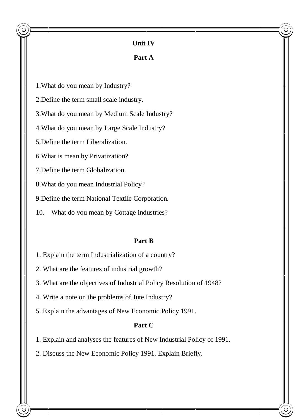#### **Unit IV**

#### **Part A**

1.What do you mean by Industry?

2.Define the term small scale industry.

3.What do you mean by Medium Scale Industry?

4.What do you mean by Large Scale Industry?

5.Define the term Liberalization.

6.What is mean by Privatization?

7.Define the term Globalization.

8.What do you mean Industrial Policy?

9.Define the term National Textile Corporation.

10. What do you mean by Cottage industries?

#### **Part B**

1. Explain the term Industrialization of a country?

2. What are the features of industrial growth?

3. What are the objectives of Industrial Policy Resolution of 1948?

4. Write a note on the problems of Jute Industry?

5. Explain the advantages of New Economic Policy 1991.

#### **Part C**

1. Explain and analyses the features of New Industrial Policy of 1991.

2. Discuss the New Economic Policy 1991. Explain Briefly.